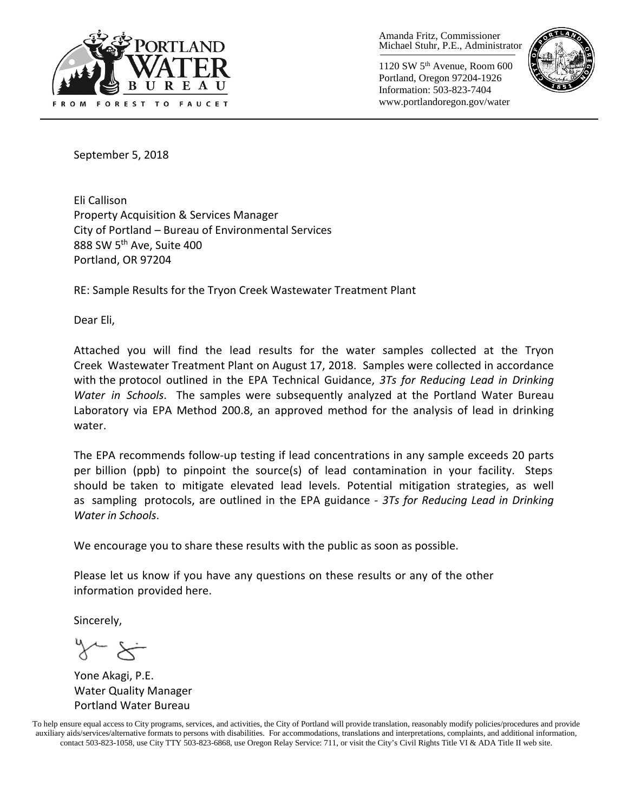

Amanda Fritz, Commissioner Michael Stuhr, P.E., Administrator

1120 SW 5th Avenue, Room 600 Portland, Oregon 97204-1926 Information: 503-823-7404 www.portlandoregon.gov/water



September 5, 2018

Eli Callison Property Acquisition & Services Manager City of Portland – Bureau of Environmental Services 888 SW 5<sup>th</sup> Ave, Suite 400 Portland, OR 97204

RE: Sample Results for the Tryon Creek Wastewater Treatment Plant

Dear Eli,

Attached you will find the lead results for the water samples collected at the Tryon Creek Wastewater Treatment Plant on August 17, 2018. Samples were collected in accordance with the protocol outlined in the EPA Technical Guidance, *3Ts for Reducing Lead in Drinking Water in Schools*. The samples were subsequently analyzed at the Portland Water Bureau Laboratory via EPA Method 200.8, an approved method for the analysis of lead in drinking water.

The EPA recommends follow-up testing if lead concentrations in any sample exceeds 20 parts per billion (ppb) to pinpoint the source(s) of lead contamination in your facility. Steps should be taken to mitigate elevated lead levels. Potential mitigation strategies, as well as sampling protocols, are outlined in the EPA guidance - *3Ts for Reducing Lead in Drinking Water in Schools*.

We encourage you to share these results with the public as soon as possible.

Please let us know if you have any questions on these results or any of the other information provided here.

Sincerely,

 $x \leftarrow x$ 

Yone Akagi, P.E. Water Quality Manager Portland Water Bureau

To help ensure equal access to City programs, services, and activities, the City of Portland will provide translation, reasonably modify policies/procedures and provide auxiliary aids/services/alternative formats to persons with disabilities. For accommodations, translations and interpretations, complaints, and additional information, contact 503-823-1058, use City TTY 503-823-6868, use Oregon Relay Service: 711, or visi[t the City's Civil Rights Title VI & ADA Title II web site.](http://www.portlandoregon.gov/oehr/66458)